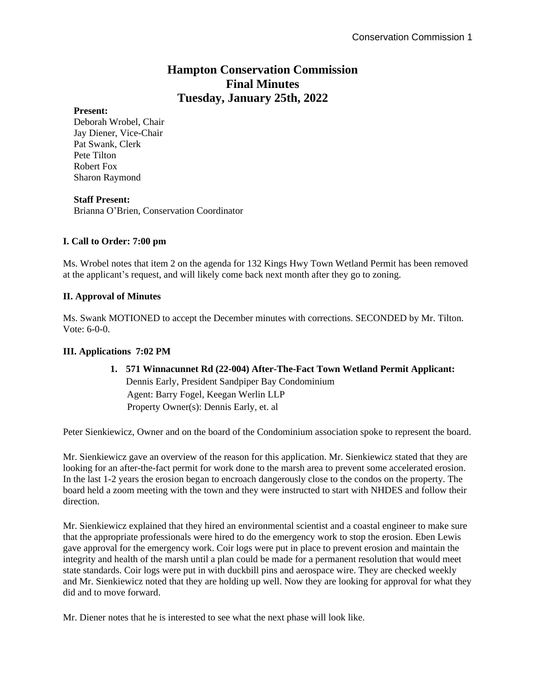# **Hampton Conservation Commission Final Minutes Tuesday, January 25th, 2022**

## **Present:**

Deborah Wrobel, Chair Jay Diener, Vice-Chair Pat Swank, Clerk Pete Tilton Robert Fox Sharon Raymond

## **Staff Present:**

Brianna O'Brien, Conservation Coordinator

# **I. Call to Order: 7:00 pm**

Ms. Wrobel notes that item 2 on the agenda for 132 Kings Hwy Town Wetland Permit has been removed at the applicant's request, and will likely come back next month after they go to zoning.

## **II. Approval of Minutes**

Ms. Swank MOTIONED to accept the December minutes with corrections. SECONDED by Mr. Tilton. Vote: 6-0-0.

### **III. Applications 7:02 PM**

**1. 571 Winnacunnet Rd (22-004) After-The-Fact Town Wetland Permit Applicant:** Dennis Early, President Sandpiper Bay Condominium Agent: Barry Fogel, Keegan Werlin LLP Property Owner(s): Dennis Early, et. al

Peter Sienkiewicz, Owner and on the board of the Condominium association spoke to represent the board.

Mr. Sienkiewicz gave an overview of the reason for this application. Mr. Sienkiewicz stated that they are looking for an after-the-fact permit for work done to the marsh area to prevent some accelerated erosion. In the last 1-2 years the erosion began to encroach dangerously close to the condos on the property. The board held a zoom meeting with the town and they were instructed to start with NHDES and follow their direction.

Mr. Sienkiewicz explained that they hired an environmental scientist and a coastal engineer to make sure that the appropriate professionals were hired to do the emergency work to stop the erosion. Eben Lewis gave approval for the emergency work. Coir logs were put in place to prevent erosion and maintain the integrity and health of the marsh until a plan could be made for a permanent resolution that would meet state standards. Coir logs were put in with duckbill pins and aerospace wire. They are checked weekly and Mr. Sienkiewicz noted that they are holding up well. Now they are looking for approval for what they did and to move forward.

Mr. Diener notes that he is interested to see what the next phase will look like.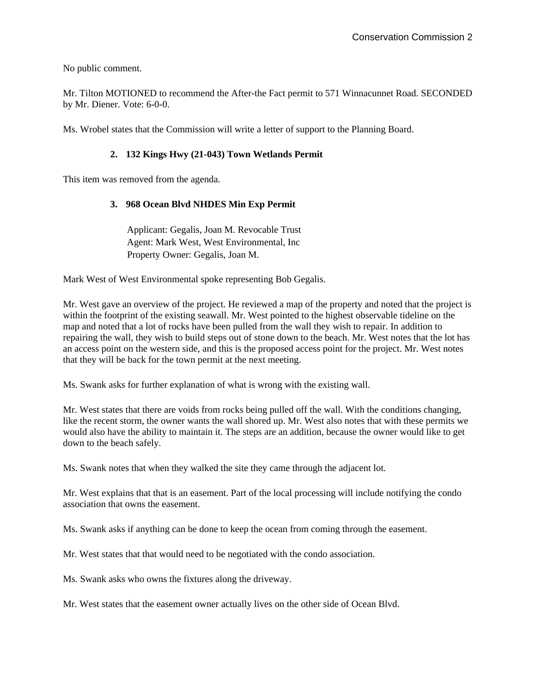No public comment.

Mr. Tilton MOTIONED to recommend the After-the Fact permit to 571 Winnacunnet Road. SECONDED by Mr. Diener. Vote: 6-0-0.

Ms. Wrobel states that the Commission will write a letter of support to the Planning Board.

# **2. 132 Kings Hwy (21-043) Town Wetlands Permit**

This item was removed from the agenda.

# **3. 968 Ocean Blvd NHDES Min Exp Permit**

Applicant: Gegalis, Joan M. Revocable Trust Agent: Mark West, West Environmental, Inc Property Owner: Gegalis, Joan M.

Mark West of West Environmental spoke representing Bob Gegalis.

Mr. West gave an overview of the project. He reviewed a map of the property and noted that the project is within the footprint of the existing seawall. Mr. West pointed to the highest observable tideline on the map and noted that a lot of rocks have been pulled from the wall they wish to repair. In addition to repairing the wall, they wish to build steps out of stone down to the beach. Mr. West notes that the lot has an access point on the western side, and this is the proposed access point for the project. Mr. West notes that they will be back for the town permit at the next meeting.

Ms. Swank asks for further explanation of what is wrong with the existing wall.

Mr. West states that there are voids from rocks being pulled off the wall. With the conditions changing, like the recent storm, the owner wants the wall shored up. Mr. West also notes that with these permits we would also have the ability to maintain it. The steps are an addition, because the owner would like to get down to the beach safely.

Ms. Swank notes that when they walked the site they came through the adjacent lot.

Mr. West explains that that is an easement. Part of the local processing will include notifying the condo association that owns the easement.

Ms. Swank asks if anything can be done to keep the ocean from coming through the easement.

Mr. West states that that would need to be negotiated with the condo association.

Ms. Swank asks who owns the fixtures along the driveway.

Mr. West states that the easement owner actually lives on the other side of Ocean Blvd.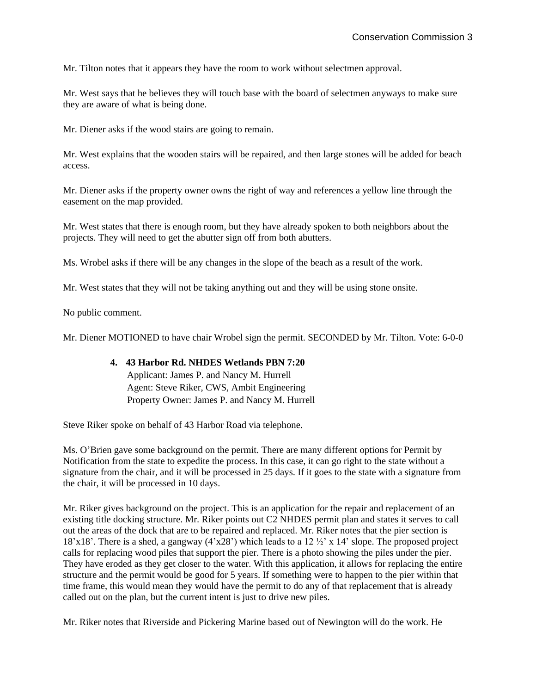Mr. Tilton notes that it appears they have the room to work without selectmen approval.

Mr. West says that he believes they will touch base with the board of selectmen anyways to make sure they are aware of what is being done.

Mr. Diener asks if the wood stairs are going to remain.

Mr. West explains that the wooden stairs will be repaired, and then large stones will be added for beach access.

Mr. Diener asks if the property owner owns the right of way and references a yellow line through the easement on the map provided.

Mr. West states that there is enough room, but they have already spoken to both neighbors about the projects. They will need to get the abutter sign off from both abutters.

Ms. Wrobel asks if there will be any changes in the slope of the beach as a result of the work.

Mr. West states that they will not be taking anything out and they will be using stone onsite.

No public comment.

Mr. Diener MOTIONED to have chair Wrobel sign the permit. SECONDED by Mr. Tilton. Vote: 6-0-0

# **4. 43 Harbor Rd. NHDES Wetlands PBN 7:20**

Applicant: James P. and Nancy M. Hurrell Agent: Steve Riker, CWS, Ambit Engineering Property Owner: James P. and Nancy M. Hurrell

Steve Riker spoke on behalf of 43 Harbor Road via telephone.

Ms. O'Brien gave some background on the permit. There are many different options for Permit by Notification from the state to expedite the process. In this case, it can go right to the state without a signature from the chair, and it will be processed in 25 days. If it goes to the state with a signature from the chair, it will be processed in 10 days.

Mr. Riker gives background on the project. This is an application for the repair and replacement of an existing title docking structure. Mr. Riker points out C2 NHDES permit plan and states it serves to call out the areas of the dock that are to be repaired and replaced. Mr. Riker notes that the pier section is 18'x18'. There is a shed, a gangway  $(4'x28')$  which leads to a 12  $\frac{1}{2}'$  x 14' slope. The proposed project calls for replacing wood piles that support the pier. There is a photo showing the piles under the pier. They have eroded as they get closer to the water. With this application, it allows for replacing the entire structure and the permit would be good for 5 years. If something were to happen to the pier within that time frame, this would mean they would have the permit to do any of that replacement that is already called out on the plan, but the current intent is just to drive new piles.

Mr. Riker notes that Riverside and Pickering Marine based out of Newington will do the work. He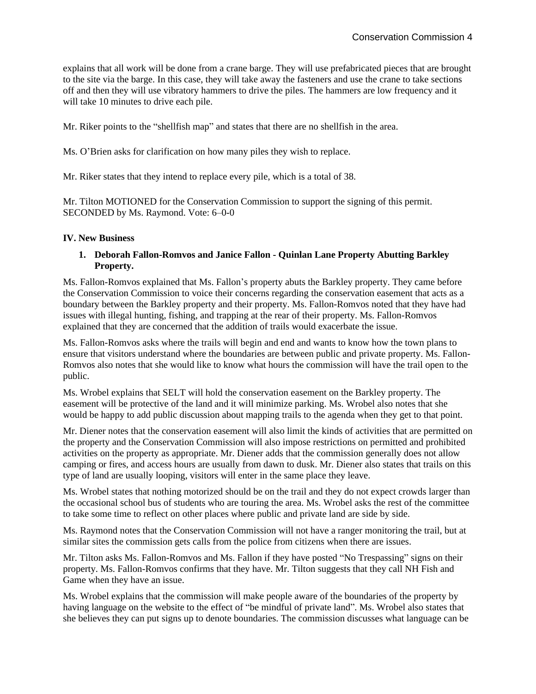explains that all work will be done from a crane barge. They will use prefabricated pieces that are brought to the site via the barge. In this case, they will take away the fasteners and use the crane to take sections off and then they will use vibratory hammers to drive the piles. The hammers are low frequency and it will take 10 minutes to drive each pile.

Mr. Riker points to the "shellfish map" and states that there are no shellfish in the area.

Ms. O'Brien asks for clarification on how many piles they wish to replace.

Mr. Riker states that they intend to replace every pile, which is a total of 38.

Mr. Tilton MOTIONED for the Conservation Commission to support the signing of this permit. SECONDED by Ms. Raymond. Vote: 6–0-0

## **IV. New Business**

### **1. Deborah Fallon-Romvos and Janice Fallon - Quinlan Lane Property Abutting Barkley Property.**

Ms. Fallon-Romvos explained that Ms. Fallon's property abuts the Barkley property. They came before the Conservation Commission to voice their concerns regarding the conservation easement that acts as a boundary between the Barkley property and their property. Ms. Fallon-Romvos noted that they have had issues with illegal hunting, fishing, and trapping at the rear of their property. Ms. Fallon-Romvos explained that they are concerned that the addition of trails would exacerbate the issue.

Ms. Fallon-Romvos asks where the trails will begin and end and wants to know how the town plans to ensure that visitors understand where the boundaries are between public and private property. Ms. Fallon-Romvos also notes that she would like to know what hours the commission will have the trail open to the public.

Ms. Wrobel explains that SELT will hold the conservation easement on the Barkley property. The easement will be protective of the land and it will minimize parking. Ms. Wrobel also notes that she would be happy to add public discussion about mapping trails to the agenda when they get to that point.

Mr. Diener notes that the conservation easement will also limit the kinds of activities that are permitted on the property and the Conservation Commission will also impose restrictions on permitted and prohibited activities on the property as appropriate. Mr. Diener adds that the commission generally does not allow camping or fires, and access hours are usually from dawn to dusk. Mr. Diener also states that trails on this type of land are usually looping, visitors will enter in the same place they leave.

Ms. Wrobel states that nothing motorized should be on the trail and they do not expect crowds larger than the occasional school bus of students who are touring the area. Ms. Wrobel asks the rest of the committee to take some time to reflect on other places where public and private land are side by side.

Ms. Raymond notes that the Conservation Commission will not have a ranger monitoring the trail, but at similar sites the commission gets calls from the police from citizens when there are issues.

Mr. Tilton asks Ms. Fallon-Romvos and Ms. Fallon if they have posted "No Trespassing" signs on their property. Ms. Fallon-Romvos confirms that they have. Mr. Tilton suggests that they call NH Fish and Game when they have an issue.

Ms. Wrobel explains that the commission will make people aware of the boundaries of the property by having language on the website to the effect of "be mindful of private land". Ms. Wrobel also states that she believes they can put signs up to denote boundaries. The commission discusses what language can be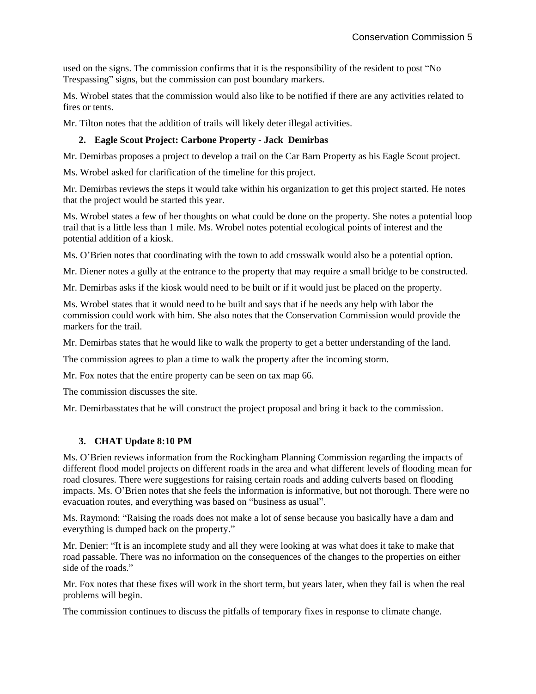used on the signs. The commission confirms that it is the responsibility of the resident to post "No Trespassing" signs, but the commission can post boundary markers.

Ms. Wrobel states that the commission would also like to be notified if there are any activities related to fires or tents.

Mr. Tilton notes that the addition of trails will likely deter illegal activities.

# **2. Eagle Scout Project: Carbone Property - Jack Demirbas**

Mr. Demirbas proposes a project to develop a trail on the Car Barn Property as his Eagle Scout project.

Ms. Wrobel asked for clarification of the timeline for this project.

Mr. Demirbas reviews the steps it would take within his organization to get this project started. He notes that the project would be started this year.

Ms. Wrobel states a few of her thoughts on what could be done on the property. She notes a potential loop trail that is a little less than 1 mile. Ms. Wrobel notes potential ecological points of interest and the potential addition of a kiosk.

Ms. O'Brien notes that coordinating with the town to add crosswalk would also be a potential option.

Mr. Diener notes a gully at the entrance to the property that may require a small bridge to be constructed.

Mr. Demirbas asks if the kiosk would need to be built or if it would just be placed on the property.

Ms. Wrobel states that it would need to be built and says that if he needs any help with labor the commission could work with him. She also notes that the Conservation Commission would provide the markers for the trail.

Mr. Demirbas states that he would like to walk the property to get a better understanding of the land.

The commission agrees to plan a time to walk the property after the incoming storm.

Mr. Fox notes that the entire property can be seen on tax map 66.

The commission discusses the site.

Mr. Demirbasstates that he will construct the project proposal and bring it back to the commission.

#### **3. CHAT Update 8:10 PM**

Ms. O'Brien reviews information from the Rockingham Planning Commission regarding the impacts of different flood model projects on different roads in the area and what different levels of flooding mean for road closures. There were suggestions for raising certain roads and adding culverts based on flooding impacts. Ms. O'Brien notes that she feels the information is informative, but not thorough. There were no evacuation routes, and everything was based on "business as usual".

Ms. Raymond: "Raising the roads does not make a lot of sense because you basically have a dam and everything is dumped back on the property."

Mr. Denier: "It is an incomplete study and all they were looking at was what does it take to make that road passable. There was no information on the consequences of the changes to the properties on either side of the roads."

Mr. Fox notes that these fixes will work in the short term, but years later, when they fail is when the real problems will begin.

The commission continues to discuss the pitfalls of temporary fixes in response to climate change.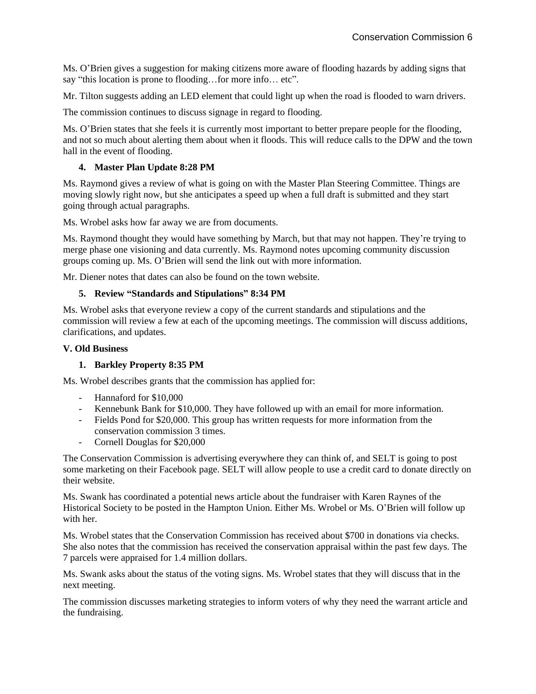Ms. O'Brien gives a suggestion for making citizens more aware of flooding hazards by adding signs that say "this location is prone to flooding…for more info… etc".

Mr. Tilton suggests adding an LED element that could light up when the road is flooded to warn drivers.

The commission continues to discuss signage in regard to flooding.

Ms. O'Brien states that she feels it is currently most important to better prepare people for the flooding, and not so much about alerting them about when it floods. This will reduce calls to the DPW and the town hall in the event of flooding.

## **4. Master Plan Update 8:28 PM**

Ms. Raymond gives a review of what is going on with the Master Plan Steering Committee. Things are moving slowly right now, but she anticipates a speed up when a full draft is submitted and they start going through actual paragraphs.

Ms. Wrobel asks how far away we are from documents.

Ms. Raymond thought they would have something by March, but that may not happen. They're trying to merge phase one visioning and data currently. Ms. Raymond notes upcoming community discussion groups coming up. Ms. O'Brien will send the link out with more information.

Mr. Diener notes that dates can also be found on the town website.

#### **5. Review "Standards and Stipulations" 8:34 PM**

Ms. Wrobel asks that everyone review a copy of the current standards and stipulations and the commission will review a few at each of the upcoming meetings. The commission will discuss additions, clarifications, and updates.

#### **V. Old Business**

#### **1. Barkley Property 8:35 PM**

Ms. Wrobel describes grants that the commission has applied for:

- Hannaford for \$10,000
- Kennebunk Bank for \$10,000. They have followed up with an email for more information.
- Fields Pond for \$20,000. This group has written requests for more information from the conservation commission 3 times.
- Cornell Douglas for \$20,000

The Conservation Commission is advertising everywhere they can think of, and SELT is going to post some marketing on their Facebook page. SELT will allow people to use a credit card to donate directly on their website.

Ms. Swank has coordinated a potential news article about the fundraiser with Karen Raynes of the Historical Society to be posted in the Hampton Union. Either Ms. Wrobel or Ms. O'Brien will follow up with her.

Ms. Wrobel states that the Conservation Commission has received about \$700 in donations via checks. She also notes that the commission has received the conservation appraisal within the past few days. The 7 parcels were appraised for 1.4 million dollars.

Ms. Swank asks about the status of the voting signs. Ms. Wrobel states that they will discuss that in the next meeting.

The commission discusses marketing strategies to inform voters of why they need the warrant article and the fundraising.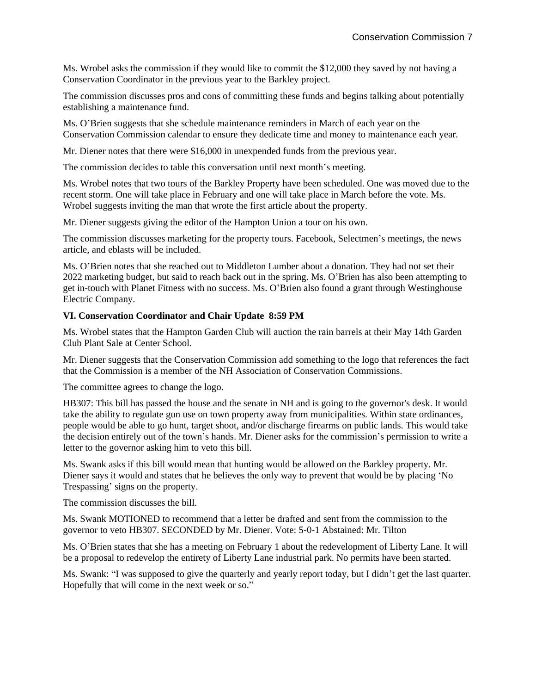Ms. Wrobel asks the commission if they would like to commit the \$12,000 they saved by not having a Conservation Coordinator in the previous year to the Barkley project.

The commission discusses pros and cons of committing these funds and begins talking about potentially establishing a maintenance fund.

Ms. O'Brien suggests that she schedule maintenance reminders in March of each year on the Conservation Commission calendar to ensure they dedicate time and money to maintenance each year.

Mr. Diener notes that there were \$16,000 in unexpended funds from the previous year.

The commission decides to table this conversation until next month's meeting.

Ms. Wrobel notes that two tours of the Barkley Property have been scheduled. One was moved due to the recent storm. One will take place in February and one will take place in March before the vote. Ms. Wrobel suggests inviting the man that wrote the first article about the property.

Mr. Diener suggests giving the editor of the Hampton Union a tour on his own.

The commission discusses marketing for the property tours. Facebook, Selectmen's meetings, the news article, and eblasts will be included.

Ms. O'Brien notes that she reached out to Middleton Lumber about a donation. They had not set their 2022 marketing budget, but said to reach back out in the spring. Ms. O'Brien has also been attempting to get in-touch with Planet Fitness with no success. Ms. O'Brien also found a grant through Westinghouse Electric Company.

#### **VI. Conservation Coordinator and Chair Update 8:59 PM**

Ms. Wrobel states that the Hampton Garden Club will auction the rain barrels at their May 14th Garden Club Plant Sale at Center School.

Mr. Diener suggests that the Conservation Commission add something to the logo that references the fact that the Commission is a member of the NH Association of Conservation Commissions.

The committee agrees to change the logo.

HB307: This bill has passed the house and the senate in NH and is going to the governor's desk. It would take the ability to regulate gun use on town property away from municipalities. Within state ordinances, people would be able to go hunt, target shoot, and/or discharge firearms on public lands. This would take the decision entirely out of the town's hands. Mr. Diener asks for the commission's permission to write a letter to the governor asking him to veto this bill.

Ms. Swank asks if this bill would mean that hunting would be allowed on the Barkley property. Mr. Diener says it would and states that he believes the only way to prevent that would be by placing 'No Trespassing' signs on the property.

The commission discusses the bill.

Ms. Swank MOTIONED to recommend that a letter be drafted and sent from the commission to the governor to veto HB307. SECONDED by Mr. Diener. Vote: 5-0-1 Abstained: Mr. Tilton

Ms. O'Brien states that she has a meeting on February 1 about the redevelopment of Liberty Lane. It will be a proposal to redevelop the entirety of Liberty Lane industrial park. No permits have been started.

Ms. Swank: "I was supposed to give the quarterly and yearly report today, but I didn't get the last quarter. Hopefully that will come in the next week or so."